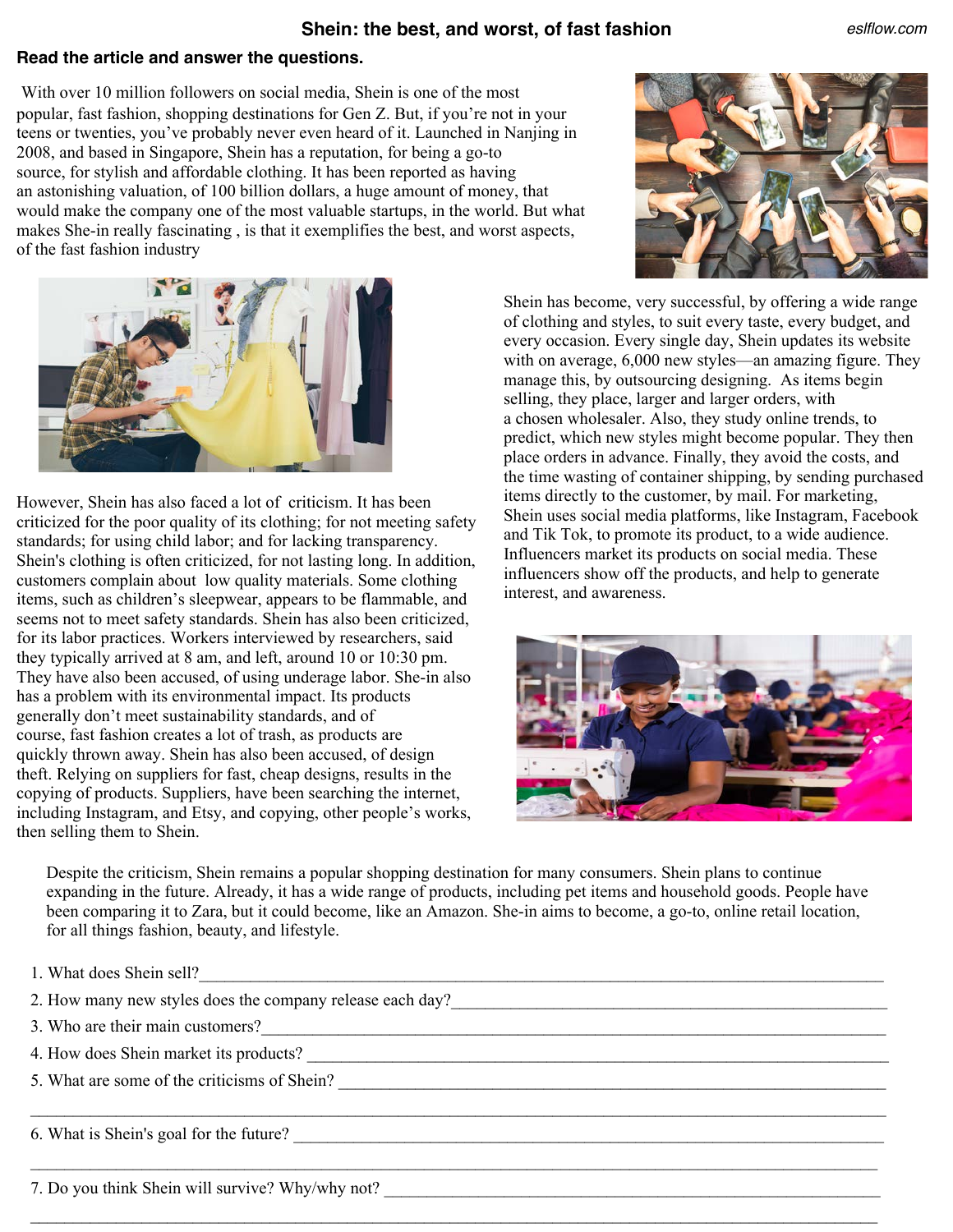## **Shein: the best, and worst, of fast fashion**

## **Read the article and answer the questions.**

With over 10 million followers on social media, Shein is one of the most popular, fast fashion, shopping destinations for Gen Z. But, if you're not in your teens or twenties, you've probably never even heard of it. Launched in Nanjing in 2008, and based in Singapore, Shein has a reputation, for being a go-to source, for stylish and affordable clothing. It has been reported as having an astonishing valuation, of 100 billion dollars, a huge amount of money, that would make the company one of the most valuable startups, in the world. But what makes She-in really fascinating , is that it exemplifies the best, and worst aspects, of the fast fashion industry



*eslflow.com*



However, Shein has also faced a lot of criticism. It has been criticized for the poor quality of its clothing; for not meeting safety standards; for using child labor; and for lacking transparency. Shein's clothing is often criticized, for not lasting long. In addition, customers complain about low quality materials. Some clothing items, such as children's sleepwear, appears to be flammable, and seems not to meet safety standards. Shein has also been criticized, for its labor practices. Workers interviewed by researchers, said they typically arrived at 8 am, and left, around 10 or 10:30 pm. They have also been accused, of using underage labor. She-in also has a problem with its environmental impact. Its products generally don't meet sustainability standards, and of course, fast fashion creates a lot of trash, as products are quickly thrown away. Shein has also been accused, of design theft. Relying on suppliers for fast, cheap designs, results in the copying of products. Suppliers, have been searching the internet, including Instagram, and Etsy, and copying, other people's works, then selling them to Shein.

Shein has become, very successful, by offering a wide range of clothing and styles, to suit every taste, every budget, and every occasion. Every single day, Shein updates its website with on average, 6,000 new styles—an amazing figure. They manage this, by outsourcing designing. As items begin selling, they place, larger and larger orders, with a chosen wholesaler. Also, they study online trends, to predict, which new styles might become popular. They then place orders in advance. Finally, they avoid the costs, and the time wasting of container shipping, by sending purchased items directly to the customer, by mail. For marketing, Shein uses social media platforms, like Instagram, Facebook and Tik Tok, to promote its product, to a wide audience. Influencers market its products on social media. These influencers show off the products, and help to generate interest, and awareness.



Despite the criticism, Shein remains a popular shopping destination for many consumers. Shein plans to continue expanding in the future. Already, it has a wide range of products, including pet items and household goods. People have been comparing it to Zara, but it could become, like an Amazon. She-in aims to become, a go-to, online retail location, for all things fashion, beauty, and lifestyle.

| 1. What does Shein sell?                                  |
|-----------------------------------------------------------|
| 2. How many new styles does the company release each day? |
| 3. Who are their main customers?<br><u> </u>              |
|                                                           |
| 5. What are some of the criticisms of Shein?              |
|                                                           |
| 6. What is Shein's goal for the future?                   |
|                                                           |
| 7. Do you think Shein will survive? Why/why not?          |

 $\mathcal{L}_\mathcal{L} = \mathcal{L}_\mathcal{L} = \mathcal{L}_\mathcal{L} = \mathcal{L}_\mathcal{L} = \mathcal{L}_\mathcal{L} = \mathcal{L}_\mathcal{L} = \mathcal{L}_\mathcal{L} = \mathcal{L}_\mathcal{L} = \mathcal{L}_\mathcal{L} = \mathcal{L}_\mathcal{L} = \mathcal{L}_\mathcal{L} = \mathcal{L}_\mathcal{L} = \mathcal{L}_\mathcal{L} = \mathcal{L}_\mathcal{L} = \mathcal{L}_\mathcal{L} = \mathcal{L}_\mathcal{L} = \mathcal{L}_\mathcal{L}$